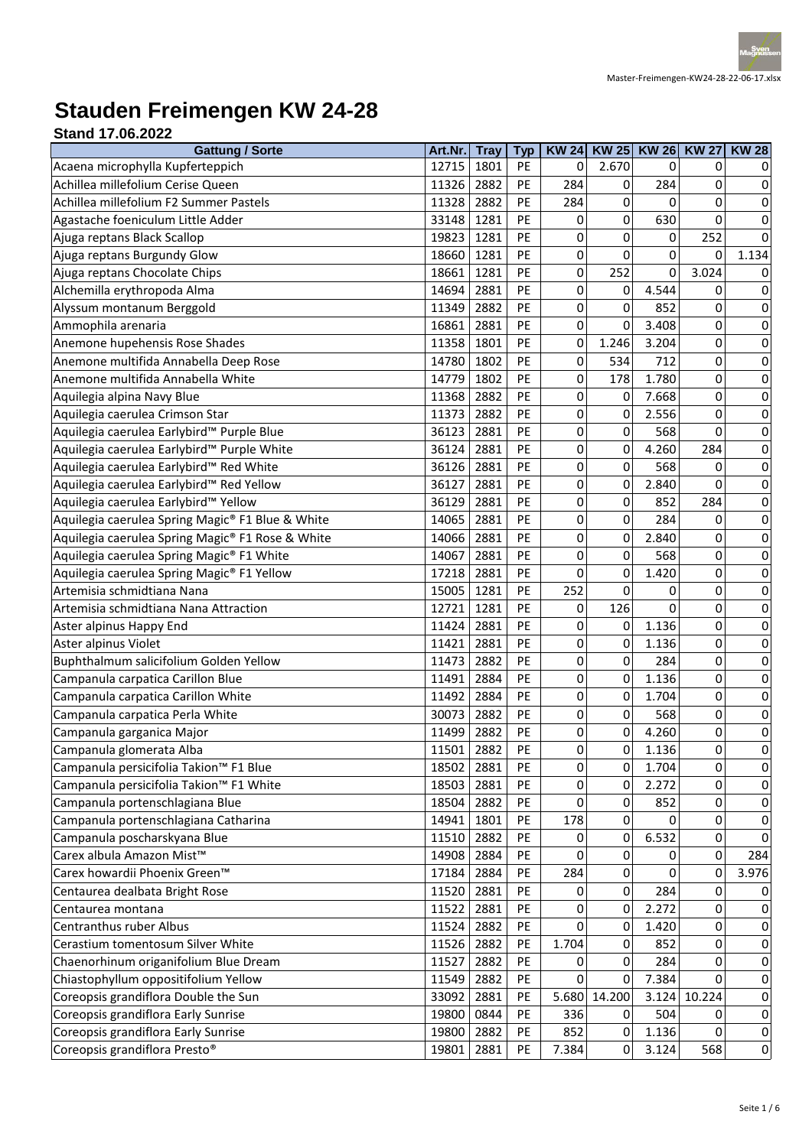

## **Stauden Freimengen KW 24-28**

| <b>Stand 17.06.2022</b>                                                    |                |             |            |              |              |              |              |              |
|----------------------------------------------------------------------------|----------------|-------------|------------|--------------|--------------|--------------|--------------|--------------|
| <b>Gattung / Sorte</b>                                                     | Art.Nr.        | <b>Tray</b> | <b>Typ</b> | <b>KW 24</b> | <b>KW 25</b> | <b>KW 26</b> | <b>KW 27</b> | <b>KW 28</b> |
| Acaena microphylla Kupferteppich                                           | 12715          | 1801        | PE         | 0            | 2.670        | 0            | 0            | 0            |
| Achillea millefolium Cerise Queen                                          | 11326          | 2882        | PE         | 284          | 0            | 284          | 0            | 0            |
| Achillea millefolium F2 Summer Pastels                                     | 11328          | 2882        | PE         | 284          | 0            | 0            | 0            | 0            |
| Agastache foeniculum Little Adder                                          | 33148          | 1281        | PE         | 0            | 0            | 630          | 0            | 0            |
| Ajuga reptans Black Scallop                                                | 19823          | 1281        | PE         | 0            | 0            | 0            | 252          | 0            |
| Ajuga reptans Burgundy Glow                                                | 18660          | 1281        | PE         | 0            | 0            | 0            | 0            | 1.134        |
| Ajuga reptans Chocolate Chips                                              | 18661          | 1281        | PE         | 0            | 252          | 0            | 3.024        | 0            |
| Alchemilla erythropoda Alma                                                | 14694          | 2881        | PE         | 0            | 0            | 4.544        | 0            | 0            |
| Alyssum montanum Berggold                                                  | 11349          | 2882        | PE         | 0            | 0            | 852          | 0            | 0            |
| Ammophila arenaria                                                         | 16861          | 2881        | PE         | 0            | 0            | 3.408        | 0            | 0            |
| Anemone hupehensis Rose Shades                                             | 11358          | 1801        | PE         | 0            | 1.246        | 3.204        | 0            | 0            |
| Anemone multifida Annabella Deep Rose                                      | 14780          | 1802        | PE         | 0            | 534          | 712          | 0            | 0            |
| Anemone multifida Annabella White                                          | 14779          | 1802        | PE         | 0            | 178          | 1.780        | $\mathbf 0$  | 0            |
| Aquilegia alpina Navy Blue                                                 | 11368          | 2882        | PE         | 0            | 0            | 7.668        | 0            | 0            |
| Aquilegia caerulea Crimson Star                                            | 11373          | 2882        | PE         | 0            | 0            | 2.556        | 0            | 0            |
| Aquilegia caerulea Earlybird™ Purple Blue                                  | 36123          | 2881        | <b>PE</b>  | 0            | 0            | 568          | 0            | 0            |
| Aquilegia caerulea Earlybird™ Purple White                                 | 36124          | 2881        | PE         | 0            | 0            | 4.260        | 284          | 0            |
| Aquilegia caerulea Earlybird™ Red White                                    | 36126          | 2881        | PE         | 0            | 0            | 568          | 0            | 0            |
| Aquilegia caerulea Earlybird™ Red Yellow                                   | 36127          | 2881        | PE         | 0            | 0            | 2.840        | 0            | 0            |
| Aquilegia caerulea Earlybird™ Yellow                                       | 36129          | 2881        | PE         | 0            | 0            | 852          | 284          | 0            |
| Aquilegia caerulea Spring Magic® F1 Blue & White                           | 14065          | 2881        | <b>PE</b>  | 0            | 0            | 284          | 0            | 0            |
| Aquilegia caerulea Spring Magic® F1 Rose & White                           | 14066          | 2881        | PE         | 0            | 0            | 2.840        | 0            | 0            |
| Aquilegia caerulea Spring Magic® F1 White                                  | 14067          | 2881        | PE         | 0            | 0            | 568          | $\mathbf 0$  | 0            |
| Aquilegia caerulea Spring Magic® F1 Yellow                                 | 17218          | 2881        | PE         | 0            | 0            | 1.420        | 0            | 0            |
| Artemisia schmidtiana Nana                                                 | 15005          | 1281        | PE         | 252          | 0            | 0            | 0            | 0            |
| Artemisia schmidtiana Nana Attraction                                      | 12721          | 1281        | <b>PE</b>  | 0            | 126          | 0            | 0            | 0            |
| Aster alpinus Happy End                                                    | 11424          | 2881        | PE         | 0            | 0            | 1.136        | 0            | 0            |
| Aster alpinus Violet                                                       | 11421          | 2881        | PE         | 0            | 0            | 1.136        | $\mathbf 0$  | 0            |
| Buphthalmum salicifolium Golden Yellow                                     | 11473          | 2882        | PE         | 0            | 0            | 284          | 0            | 0            |
| Campanula carpatica Carillon Blue                                          | 11491          | 2884        | PE         | 0            | 0            | 1.136        | 0            | 0            |
| Campanula carpatica Carillon White                                         | 11492          | 2884        | PE         | 0            | 0            | 1.704        | 0            | 0            |
| Campanula carpatica Perla White                                            | 30073          | 2882        | PE         | 0            | 0            | 568          | 0            | 0            |
| Campanula garganica Major                                                  | 11499          | 2882        | PE         | 0            | 0            | 4.260        | 0            | 0            |
| Campanula glomerata Alba                                                   | 11501          | 2882        | <b>PE</b>  | 0            | 0            | 1.136        | 0            | 0            |
| Campanula persicifolia Takion <sup>™</sup> F1 Blue                         | 18502          | 2881        | PE         | 0            | 0            | 1.704        | 0            | 0            |
| Campanula persicifolia Takion™ F1 White                                    | 18503          | 2881        | <b>PE</b>  | 0            | 0            | 2.272        | 0            | 0            |
| Campanula portenschlagiana Blue                                            | 18504          | 2882        | PE         | 0            | 0            | 852          | 0            | 0            |
| Campanula portenschlagiana Catharina                                       | 14941          | 1801        | PE         | 178          | 0            | 0            | 0            | 0            |
| Campanula poscharskyana Blue                                               | 11510          | 2882        | PE         | 0            | 0            | 6.532        | 0            | 0            |
| Carex albula Amazon Mist™                                                  | 14908          | 2884        | PE         | 0            | 0            | 0            | $\mathbf{0}$ | 284          |
| Carex howardii Phoenix Green™                                              | 17184          | 2884        | PE         | 284          | 0            | 0            | 0            | 3.976        |
| Centaurea dealbata Bright Rose                                             | 11520          | 2881        | PE         | 0            | 0            | 284          | 0            | 0            |
| Centaurea montana                                                          | 11522          | 2881        | <b>PE</b>  | 0            | 0            | 2.272        | $\mathbf{0}$ | 0            |
| <b>Centranthus ruber Albus</b>                                             | 11524          | 2882        | PE         | 0            | 0            | 1.420        | 0            | 0            |
| Cerastium tomentosum Silver White                                          | 11526          | 2882        | PE         | 1.704        | 0            | 852          | 0            | 0            |
| Chaenorhinum origanifolium Blue Dream                                      | 11527          | 2882        | PE         | 0            | 0            | 284          | 0            | 0            |
| Chiastophyllum oppositifolium Yellow                                       | 11549          | 2882        | PE         | 0            | 0            | 7.384        | 0            | 0            |
| Coreopsis grandiflora Double the Sun                                       | 33092          | 2881        | PE         | 5.680        | 14.200       | 3.124        | 10.224       | 0            |
|                                                                            |                | 0844        |            |              |              | 504          |              |              |
| Coreopsis grandiflora Early Sunrise<br>Coreopsis grandiflora Early Sunrise | 19800<br>19800 | 2882        | PE<br>PE   | 336<br>852   | 0            | 1.136        | 0<br>0       | 0            |
|                                                                            |                |             |            |              | 0            |              |              | 0            |
| Coreopsis grandiflora Presto®                                              | 19801          | 2881        | PE         | 7.384        | 0            | 3.124        | 568          | 0            |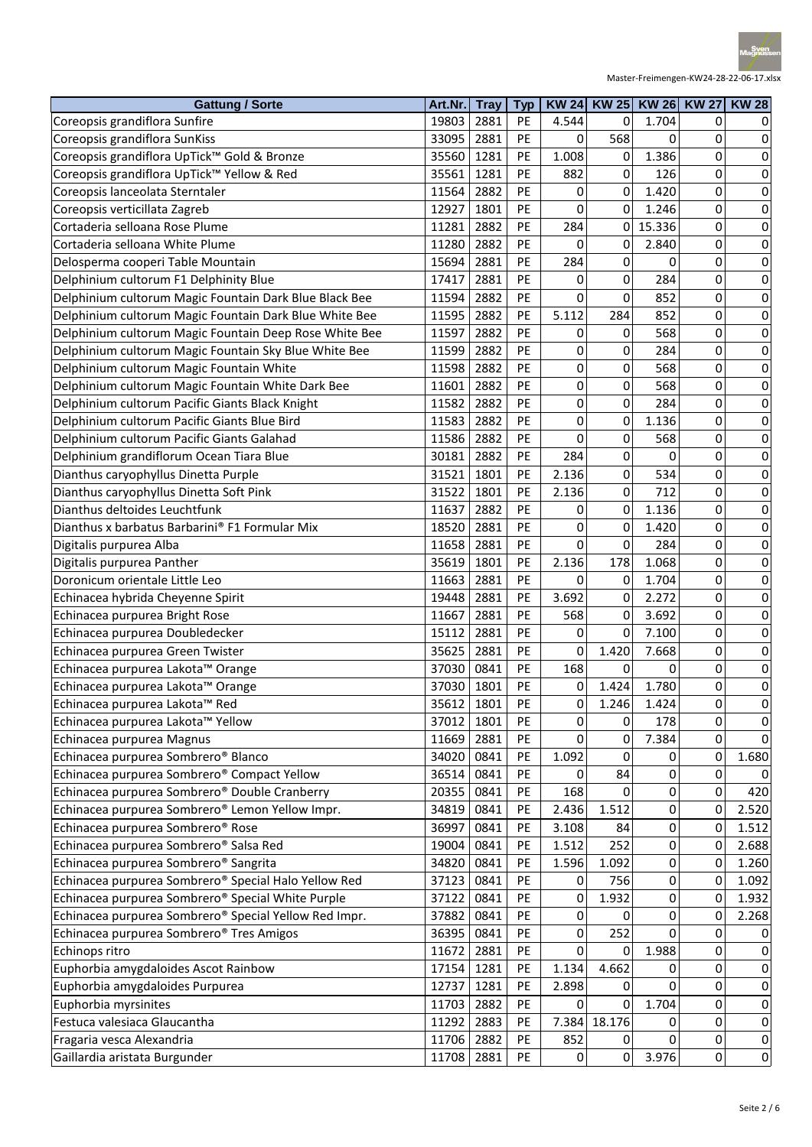

| <b>Gattung / Sorte</b>                                    | Art.Nr. | <b>Tray</b> | <b>Typ</b> | <b>KW 24</b> |        | KW 25 KW 26 | <b>KW 27</b>   | <b>KW 28</b>   |
|-----------------------------------------------------------|---------|-------------|------------|--------------|--------|-------------|----------------|----------------|
| Coreopsis grandiflora Sunfire                             | 19803   | 2881        | PE         | 4.544        | 0      | 1.704       | 0              | 0              |
| Coreopsis grandiflora SunKiss                             | 33095   | 2881        | PE         | 0            | 568    | 0           | 0              | 0              |
| Coreopsis grandiflora UpTick™ Gold & Bronze               | 35560   | 1281        | PE         | 1.008        | 0      | 1.386       | 0              | 0              |
| Coreopsis grandiflora UpTick™ Yellow & Red                | 35561   | 1281        | PE         | 882          | 0      | 126         | 0              | 0              |
| Coreopsis lanceolata Sterntaler                           | 11564   | 2882        | PE         | 0            | 0      | 1.420       | 0              | 0              |
| Coreopsis verticillata Zagreb                             | 12927   | 1801        | PE         | 0            | 0      | 1.246       | $\overline{0}$ | 0              |
| Cortaderia selloana Rose Plume                            | 11281   | 2882        | PE         | 284          | 0      | 15.336      | 0              | 0              |
| Cortaderia selloana White Plume                           | 11280   | 2882        | PE         | 0            | 0      | 2.840       | 0              | 0              |
| Delosperma cooperi Table Mountain                         | 15694   | 2881        | PE         | 284          | 0      | 0           | 0              | $\pmb{0}$      |
| Delphinium cultorum F1 Delphinity Blue                    | 17417   | 2881        | <b>PE</b>  | 0            | 0      | 284         | 0              | $\mathbf 0$    |
| Delphinium cultorum Magic Fountain Dark Blue Black Bee    | 11594   | 2882        | PE         | 0            | 0      | 852         | 0              | 0              |
| Delphinium cultorum Magic Fountain Dark Blue White Bee    | 11595   | 2882        | PE         | 5.112        | 284    | 852         | 0              | 0              |
| Delphinium cultorum Magic Fountain Deep Rose White Bee    | 11597   | 2882        | PE         | 0            | 0      | 568         | 0              | $\mathbf 0$    |
| Delphinium cultorum Magic Fountain Sky Blue White Bee     | 11599   | 2882        | PE         | 0            | 0      | 284         | 0              | $\pmb{0}$      |
| Delphinium cultorum Magic Fountain White                  | 11598   | 2882        | PE         | 0            | 0      | 568         | 0              | $\mathbf 0$    |
| Delphinium cultorum Magic Fountain White Dark Bee         | 11601   | 2882        | PE         | 0            | 0      | 568         | 0              | 0              |
| Delphinium cultorum Pacific Giants Black Knight           | 11582   | 2882        | PE         | 0            | 0      | 284         | 0              | 0              |
| Delphinium cultorum Pacific Giants Blue Bird              | 11583   | 2882        | PE         | 0            | 0      | 1.136       | 0              | 0              |
| Delphinium cultorum Pacific Giants Galahad                | 11586   | 2882        | PE         | 0            | 0      | 568         | 0              | $\pmb{0}$      |
| Delphinium grandiflorum Ocean Tiara Blue                  | 30181   | 2882        | PE         | 284          | 0      | 0           | 0              | $\mathbf 0$    |
| Dianthus caryophyllus Dinetta Purple                      | 31521   | 1801        | PE         | 2.136        | 0      | 534         | 0              | 0              |
| Dianthus caryophyllus Dinetta Soft Pink                   | 31522   | 1801        | PE         | 2.136        | 0      | 712         | 0              | 0              |
| Dianthus deltoides Leuchtfunk                             | 11637   | 2882        | PE         | 0            | 0      | 1.136       | 0              | $\mathbf 0$    |
| Dianthus x barbatus Barbarini® F1 Formular Mix            | 18520   | 2881        | PE         | 0            | 0      | 1.420       | 0              | $\pmb{0}$      |
| Digitalis purpurea Alba                                   | 11658   | 2881        | PE         | 0            | 0      | 284         | 0              | $\mathbf 0$    |
| Digitalis purpurea Panther                                | 35619   | 1801        | PE         | 2.136        | 178    | 1.068       | 0              | 0              |
| Doronicum orientale Little Leo                            | 11663   | 2881        | PE         | 0            | 0      | 1.704       | 0              | 0              |
| Echinacea hybrida Cheyenne Spirit                         | 19448   | 2881        | PE         | 3.692        | 0      | 2.272       | 0              | 0              |
| Echinacea purpurea Bright Rose                            | 11667   | 2881        | PE         | 568          | 0      | 3.692       | 0              | 0              |
| Echinacea purpurea Doubledecker                           | 15112   | 2881        | PE         | 0            | 0      | 7.100       | 0              | 0              |
| Echinacea purpurea Green Twister                          | 35625   | 2881        | PE         | 0            | 1.420  | 7.668       | 0              | $\overline{0}$ |
| Echinacea purpurea Lakota™ Orange                         | 37030   | 0841        | <b>PE</b>  | 168          | 0      | 0           | 0              | $\pmb{0}$      |
| Echinacea purpurea Lakota™ Orange                         | 37030   | 1801        | PE         | 0            | 1.424  | 1.780       | 0              | 0              |
| Echinacea purpurea Lakota™ Red                            | 35612   | 1801        | PE         | 0            | 1.246  | 1.424       | 0              | 0              |
| Echinacea purpurea Lakota™ Yellow                         | 37012   | 1801        | PE         | 0            | 0      | 178         | 0              | 0              |
| Echinacea purpurea Magnus                                 | 11669   | 2881        | PE         | 0            | 0      | 7.384       | 0              | 0              |
| Echinacea purpurea Sombrero <sup>®</sup> Blanco           | 34020   | 0841        | PE         | 1.092        | 0      | 0           | 0              | 1.680          |
| Echinacea purpurea Sombrero® Compact Yellow               | 36514   | 0841        | PE         | 0            | 84     | 0           | 0              | 0              |
| Echinacea purpurea Sombrero <sup>®</sup> Double Cranberry | 20355   | 0841        | PE         | 168          | 0      | $\mathbf 0$ | 0              | 420            |
| Echinacea purpurea Sombrero® Lemon Yellow Impr.           | 34819   | 0841        | PE         | 2.436        | 1.512  | $\mathbf 0$ | 0              | 2.520          |
| Echinacea purpurea Sombrero <sup>®</sup> Rose             | 36997   | 0841        | PE         | 3.108        | 84     | $\mathbf 0$ | 0              | 1.512          |
| Echinacea purpurea Sombrero <sup>®</sup> Salsa Red        | 19004   | 0841        | <b>PE</b>  | 1.512        | 252    | $\mathbf 0$ | 0              | 2.688          |
| Echinacea purpurea Sombrero <sup>®</sup> Sangrita         | 34820   | 0841        | PE         | 1.596        | 1.092  | 0           | 0              | 1.260          |
| Echinacea purpurea Sombrero® Special Halo Yellow Red      | 37123   | 0841        | PE         | 0            | 756    | $\mathbf 0$ | 0              | 1.092          |
| Echinacea purpurea Sombrero® Special White Purple         | 37122   | 0841        | PE         | 0            | 1.932  | $\mathbf 0$ | 0              | 1.932          |
| Echinacea purpurea Sombrero® Special Yellow Red Impr.     | 37882   | 0841        | PE         | 0            | 0      | $\mathbf 0$ | 0              | 2.268          |
| Echinacea purpurea Sombrero <sup>®</sup> Tres Amigos      | 36395   | 0841        | <b>PE</b>  | 0            | 252    | 0           | 0              | 0              |
| Echinops ritro                                            | 11672   | 2881        | PE         | 0            | 0      | 1.988       | 0              | 0              |
| Euphorbia amygdaloides Ascot Rainbow                      | 17154   | 1281        | PE         | 1.134        | 4.662  | 0           | 0              | 0              |
| Euphorbia amygdaloides Purpurea                           | 12737   | 1281        | PE         | 2.898        | 0      | 0           | 0              | $\pmb{0}$      |
| Euphorbia myrsinites                                      | 11703   | 2882        | <b>PE</b>  | 0            | 0      | 1.704       | 0              | 0              |
| Festuca valesiaca Glaucantha                              | 11292   | 2883        | PE         | 7.384        | 18.176 | 0           | 0              | 0              |
| Fragaria vesca Alexandria                                 | 11706   | 2882        | PE         | 852          | 0      | 0           | 0              | $\pmb{0}$      |
| Gaillardia aristata Burgunder                             | 11708   | 2881        | <b>PE</b>  | 0            | 0      | 3.976       | 0              | $\pmb{0}$      |

Seite 2 / 6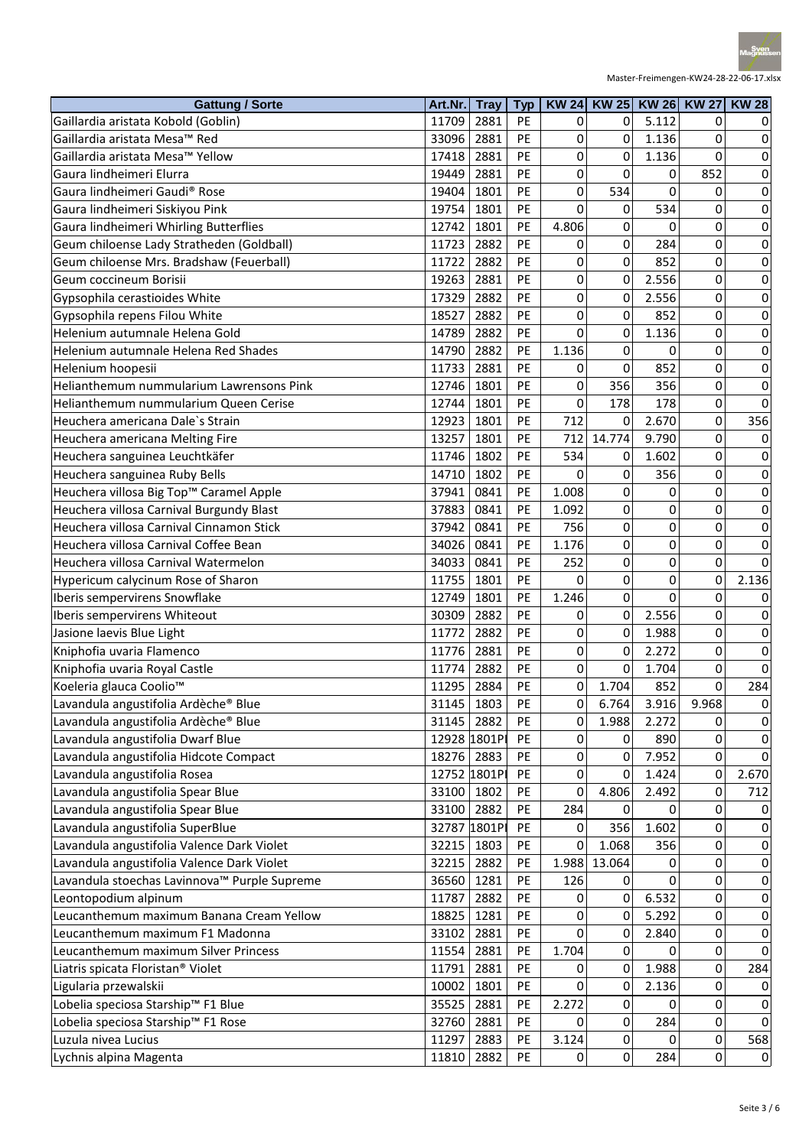

| 2881<br>0<br>5.112<br>0<br>11709<br>PE<br>0<br>0<br>2881<br>PE<br>0<br>0<br>0<br>33096<br>0<br>1.136<br>2881<br>PE<br>0<br>0<br>0<br>17418<br>0<br>1.136<br>PE<br>852<br>2881<br>0<br>0<br>$\pmb{0}$<br>19449<br>0<br>PE<br>1801<br>0<br>534<br>0<br>19404<br>0<br>0<br>534<br>19754<br>1801<br>PE<br>0<br>0<br>0<br>0<br>1801<br>PE<br>4.806<br>0<br>0<br>$\pmb{0}$<br>12742<br>0<br>2882<br>PE<br>$\pmb{0}$<br>11723<br>0<br>284<br>0<br>0<br>2882<br>PE<br>11722<br>0<br>0<br>852<br>0<br>$\pmb{0}$<br>PE<br>2881<br>0<br>2.556<br>0<br>$\pmb{0}$<br>19263<br>0<br>0<br>2882<br>PE<br>0<br>2.556<br>0<br>17329<br>0<br>$\pmb{0}$<br>2882<br>PE<br>0<br>18527<br>0<br>0<br>852<br>14789<br>2882<br>PE<br>0<br>0<br>1.136<br>0<br>0<br>PE<br>2882<br>1.136<br>0<br>$\pmb{0}$<br>14790<br>0<br>0<br>852<br>2881<br>PE<br>0<br>0<br>$\pmb{0}$<br>11733<br>0<br>12746<br>1801<br>PE<br>0<br>356<br>356<br>0<br>0<br>1801<br>PE<br>0<br>178<br>0<br>0<br>12744<br>178<br>PE<br>2.670<br>356<br>12923<br>1801<br>712<br>0<br>0<br>PE<br>13257<br>1801<br>712<br>14.774<br>9.790<br>0<br>0<br>Heuchera sanguinea Leuchtkäfer<br>1802<br>PE<br>534<br>11746<br>1.602<br>0<br>0<br>0<br>0<br>Heuchera sanguinea Ruby Bells<br>14710<br>1802<br>PE<br>0<br>356<br>$\pmb{0}$<br>0<br>Heuchera villosa Big Top™ Caramel Apple<br>0841<br>PE<br>1.008<br>0<br>$\pmb{0}$<br>37941<br>0<br>0<br>Heuchera villosa Carnival Burgundy Blast<br>0841<br>37883<br>PE<br>1.092<br>0<br>0<br>0<br>0<br>$\mathbf 0$<br>37942<br>0841<br>PE<br>756<br>0<br>0<br>$\pmb{0}$<br>$\mathbf 0$<br>Heuchera villosa Carnival Coffee Bean<br>0841<br>PE<br>0<br>0<br>34026<br>1.176<br>0<br>$\mathbf 0$<br>$\overline{0}$<br>Heuchera villosa Carnival Watermelon<br>34033<br>0841<br>PE<br>252<br>0<br>0<br>2.136<br>1801<br>PE<br>0<br>$\mathbf 0$<br>0<br>Hypericum calycinum Rose of Sharon<br>11755<br>0<br>Iberis sempervirens Snowflake<br>0<br>12749<br>1801<br>PE<br>1.246<br>0<br>0<br>0<br>PE<br>2.556<br>2882<br>0<br>Iberis sempervirens Whiteout<br>30309<br>0<br>0<br>0<br>0<br>Jasione laevis Blue Light<br>2882<br>PE<br>1.988<br>0<br>11772<br>0<br>0<br>Kniphofia uvaria Flamenco<br>2881<br>$\overline{0}$<br>11776<br>PE<br>0<br>2.272<br>0<br>0<br>2882<br>$\Omega$<br>0<br>$\pmb{0}$<br>Kniphofia uvaria Royal Castle<br>11774<br><b>PE</b><br>0<br>1.704<br>Koeleria glauca Coolio <sup>™</sup><br>2884<br><b>PE</b><br>0<br>852<br>0<br>284<br>11295<br>1.704<br>Lavandula angustifolia Ardèche® Blue<br>1803<br><b>PE</b><br>0<br>3.916<br>9.968<br>31145<br>6.764<br>0<br>Lavandula angustifolia Ardèche® Blue<br>2882<br>PE<br>31145<br>1.988<br>2.272<br>0<br>0<br>0<br>Lavandula angustifolia Dwarf Blue<br>12928 1801Pl<br>PE<br>0<br>890<br>0<br>0<br>0<br>Lavandula angustifolia Hidcote Compact<br>0<br>0<br>18276<br>2883<br><b>PE</b><br>0<br>7.952<br>0<br>Lavandula angustifolia Rosea<br>12752 1801PI<br>0<br>1.424<br>0<br>2.670<br>PE<br>0<br>Lavandula angustifolia Spear Blue<br>1802<br>PE<br>0<br>4.806<br>2.492<br>0<br>33100<br>712<br>Lavandula angustifolia Spear Blue<br>2882<br>33100<br>PE<br>284<br>0<br>0<br>0<br>0<br>Lavandula angustifolia SuperBlue<br>32787 1801Pl<br>1.602<br>0<br>PE<br>$\mathbf 0$<br>356<br>0<br>Lavandula angustifolia Valence Dark Violet<br>1803<br>0<br>0<br>32215<br><b>PE</b><br>0<br>1.068<br>356<br>Lavandula angustifolia Valence Dark Violet<br>32215<br>2882<br>1.988<br>13.064<br>0<br>0<br>PE<br>0<br>Lavandula stoechas Lavinnova™ Purple Supreme<br>1281<br>PE<br>0<br>36560<br>126<br>0<br>0<br>0<br>Leontopodium alpinum<br>2882<br>6.532<br>$\pmb{0}$<br>11787<br>PE<br>0<br>0<br>0<br>Leucanthemum maximum Banana Cream Yellow<br>5.292<br>0<br>18825<br>1281<br>PE<br>0<br>0<br>0<br>2881<br><b>PE</b><br>0<br>$\pmb{0}$<br>Leucanthemum maximum F1 Madonna<br>33102<br>0<br>0<br>2.840<br>Leucanthemum maximum Silver Princess<br>2881<br>1.704<br>0<br>0<br>11554<br>PE<br>0<br>0<br>11791<br>2881<br>PE<br>1.988<br>0<br>284<br>Liatris spicata Floristan® Violet<br>0<br>0<br>Ligularia przewalskii<br>PE<br>1801<br>2.136<br>0<br>10002<br>0<br>0<br>0<br>Lobelia speciosa Starship™ F1 Blue<br>2881<br>2.272<br>35525<br>PE<br>0<br>0<br>0<br>0<br>Lobelia speciosa Starship™ F1 Rose<br>2881<br>0<br>$\pmb{0}$<br>32760<br><b>PE</b><br>0<br>284<br>0 | <b>Gattung / Sorte</b>                    | Art.Nr. | <b>Tray</b> | <b>Typ</b> |       | <b>KW 24 KW 25</b> | <b>KW 26</b> | <b>KW 27</b> | <b>KW 28</b> |
|-----------------------------------------------------------------------------------------------------------------------------------------------------------------------------------------------------------------------------------------------------------------------------------------------------------------------------------------------------------------------------------------------------------------------------------------------------------------------------------------------------------------------------------------------------------------------------------------------------------------------------------------------------------------------------------------------------------------------------------------------------------------------------------------------------------------------------------------------------------------------------------------------------------------------------------------------------------------------------------------------------------------------------------------------------------------------------------------------------------------------------------------------------------------------------------------------------------------------------------------------------------------------------------------------------------------------------------------------------------------------------------------------------------------------------------------------------------------------------------------------------------------------------------------------------------------------------------------------------------------------------------------------------------------------------------------------------------------------------------------------------------------------------------------------------------------------------------------------------------------------------------------------------------------------------------------------------------------------------------------------------------------------------------------------------------------------------------------------------------------------------------------------------------------------------------------------------------------------------------------------------------------------------------------------------------------------------------------------------------------------------------------------------------------------------------------------------------------------------------------------------------------------------------------------------------------------------------------------------------------------------------------------------------------------------------------------------------------------------------------------------------------------------------------------------------------------------------------------------------------------------------------------------------------------------------------------------------------------------------------------------------------------------------------------------------------------------------------------------------------------------------------------------------------------------------------------------------------------------------------------------------------------------------------------------------------------------------------------------------------------------------------------------------------------------------------------------------------------------------------------------------------------------------------------------------------------------------------------------------------------------------------------------------------------------------------------------------------------------------------------------------------------------------------------------------------------------------------------------------------------------------------------------------------------------------------------------------------------------------------------------------------------------------------------------------------------------------------------------------------------------------------------------------------------------------------------------------------------------------------------------------------------------------------------------------------------------------|-------------------------------------------|---------|-------------|------------|-------|--------------------|--------------|--------------|--------------|
|                                                                                                                                                                                                                                                                                                                                                                                                                                                                                                                                                                                                                                                                                                                                                                                                                                                                                                                                                                                                                                                                                                                                                                                                                                                                                                                                                                                                                                                                                                                                                                                                                                                                                                                                                                                                                                                                                                                                                                                                                                                                                                                                                                                                                                                                                                                                                                                                                                                                                                                                                                                                                                                                                                                                                                                                                                                                                                                                                                                                                                                                                                                                                                                                                                                                                                                                                                                                                                                                                                                                                                                                                                                                                                                                                                                                                                                                                                                                                                                                                                                                                                                                                                                                                                                                                                                                   | Gaillardia aristata Kobold (Goblin)       |         |             |            |       |                    |              |              |              |
|                                                                                                                                                                                                                                                                                                                                                                                                                                                                                                                                                                                                                                                                                                                                                                                                                                                                                                                                                                                                                                                                                                                                                                                                                                                                                                                                                                                                                                                                                                                                                                                                                                                                                                                                                                                                                                                                                                                                                                                                                                                                                                                                                                                                                                                                                                                                                                                                                                                                                                                                                                                                                                                                                                                                                                                                                                                                                                                                                                                                                                                                                                                                                                                                                                                                                                                                                                                                                                                                                                                                                                                                                                                                                                                                                                                                                                                                                                                                                                                                                                                                                                                                                                                                                                                                                                                                   | Gaillardia aristata Mesa™ Red             |         |             |            |       |                    |              |              |              |
|                                                                                                                                                                                                                                                                                                                                                                                                                                                                                                                                                                                                                                                                                                                                                                                                                                                                                                                                                                                                                                                                                                                                                                                                                                                                                                                                                                                                                                                                                                                                                                                                                                                                                                                                                                                                                                                                                                                                                                                                                                                                                                                                                                                                                                                                                                                                                                                                                                                                                                                                                                                                                                                                                                                                                                                                                                                                                                                                                                                                                                                                                                                                                                                                                                                                                                                                                                                                                                                                                                                                                                                                                                                                                                                                                                                                                                                                                                                                                                                                                                                                                                                                                                                                                                                                                                                                   | Gaillardia aristata Mesa™ Yellow          |         |             |            |       |                    |              |              |              |
|                                                                                                                                                                                                                                                                                                                                                                                                                                                                                                                                                                                                                                                                                                                                                                                                                                                                                                                                                                                                                                                                                                                                                                                                                                                                                                                                                                                                                                                                                                                                                                                                                                                                                                                                                                                                                                                                                                                                                                                                                                                                                                                                                                                                                                                                                                                                                                                                                                                                                                                                                                                                                                                                                                                                                                                                                                                                                                                                                                                                                                                                                                                                                                                                                                                                                                                                                                                                                                                                                                                                                                                                                                                                                                                                                                                                                                                                                                                                                                                                                                                                                                                                                                                                                                                                                                                                   | Gaura lindheimeri Elurra                  |         |             |            |       |                    |              |              |              |
|                                                                                                                                                                                                                                                                                                                                                                                                                                                                                                                                                                                                                                                                                                                                                                                                                                                                                                                                                                                                                                                                                                                                                                                                                                                                                                                                                                                                                                                                                                                                                                                                                                                                                                                                                                                                                                                                                                                                                                                                                                                                                                                                                                                                                                                                                                                                                                                                                                                                                                                                                                                                                                                                                                                                                                                                                                                                                                                                                                                                                                                                                                                                                                                                                                                                                                                                                                                                                                                                                                                                                                                                                                                                                                                                                                                                                                                                                                                                                                                                                                                                                                                                                                                                                                                                                                                                   | Gaura lindheimeri Gaudi® Rose             |         |             |            |       |                    |              |              |              |
|                                                                                                                                                                                                                                                                                                                                                                                                                                                                                                                                                                                                                                                                                                                                                                                                                                                                                                                                                                                                                                                                                                                                                                                                                                                                                                                                                                                                                                                                                                                                                                                                                                                                                                                                                                                                                                                                                                                                                                                                                                                                                                                                                                                                                                                                                                                                                                                                                                                                                                                                                                                                                                                                                                                                                                                                                                                                                                                                                                                                                                                                                                                                                                                                                                                                                                                                                                                                                                                                                                                                                                                                                                                                                                                                                                                                                                                                                                                                                                                                                                                                                                                                                                                                                                                                                                                                   | Gaura lindheimeri Siskiyou Pink           |         |             |            |       |                    |              |              |              |
|                                                                                                                                                                                                                                                                                                                                                                                                                                                                                                                                                                                                                                                                                                                                                                                                                                                                                                                                                                                                                                                                                                                                                                                                                                                                                                                                                                                                                                                                                                                                                                                                                                                                                                                                                                                                                                                                                                                                                                                                                                                                                                                                                                                                                                                                                                                                                                                                                                                                                                                                                                                                                                                                                                                                                                                                                                                                                                                                                                                                                                                                                                                                                                                                                                                                                                                                                                                                                                                                                                                                                                                                                                                                                                                                                                                                                                                                                                                                                                                                                                                                                                                                                                                                                                                                                                                                   | Gaura lindheimeri Whirling Butterflies    |         |             |            |       |                    |              |              |              |
|                                                                                                                                                                                                                                                                                                                                                                                                                                                                                                                                                                                                                                                                                                                                                                                                                                                                                                                                                                                                                                                                                                                                                                                                                                                                                                                                                                                                                                                                                                                                                                                                                                                                                                                                                                                                                                                                                                                                                                                                                                                                                                                                                                                                                                                                                                                                                                                                                                                                                                                                                                                                                                                                                                                                                                                                                                                                                                                                                                                                                                                                                                                                                                                                                                                                                                                                                                                                                                                                                                                                                                                                                                                                                                                                                                                                                                                                                                                                                                                                                                                                                                                                                                                                                                                                                                                                   | Geum chiloense Lady Stratheden (Goldball) |         |             |            |       |                    |              |              |              |
|                                                                                                                                                                                                                                                                                                                                                                                                                                                                                                                                                                                                                                                                                                                                                                                                                                                                                                                                                                                                                                                                                                                                                                                                                                                                                                                                                                                                                                                                                                                                                                                                                                                                                                                                                                                                                                                                                                                                                                                                                                                                                                                                                                                                                                                                                                                                                                                                                                                                                                                                                                                                                                                                                                                                                                                                                                                                                                                                                                                                                                                                                                                                                                                                                                                                                                                                                                                                                                                                                                                                                                                                                                                                                                                                                                                                                                                                                                                                                                                                                                                                                                                                                                                                                                                                                                                                   | Geum chiloense Mrs. Bradshaw (Feuerball)  |         |             |            |       |                    |              |              |              |
|                                                                                                                                                                                                                                                                                                                                                                                                                                                                                                                                                                                                                                                                                                                                                                                                                                                                                                                                                                                                                                                                                                                                                                                                                                                                                                                                                                                                                                                                                                                                                                                                                                                                                                                                                                                                                                                                                                                                                                                                                                                                                                                                                                                                                                                                                                                                                                                                                                                                                                                                                                                                                                                                                                                                                                                                                                                                                                                                                                                                                                                                                                                                                                                                                                                                                                                                                                                                                                                                                                                                                                                                                                                                                                                                                                                                                                                                                                                                                                                                                                                                                                                                                                                                                                                                                                                                   | Geum coccineum Borisii                    |         |             |            |       |                    |              |              |              |
|                                                                                                                                                                                                                                                                                                                                                                                                                                                                                                                                                                                                                                                                                                                                                                                                                                                                                                                                                                                                                                                                                                                                                                                                                                                                                                                                                                                                                                                                                                                                                                                                                                                                                                                                                                                                                                                                                                                                                                                                                                                                                                                                                                                                                                                                                                                                                                                                                                                                                                                                                                                                                                                                                                                                                                                                                                                                                                                                                                                                                                                                                                                                                                                                                                                                                                                                                                                                                                                                                                                                                                                                                                                                                                                                                                                                                                                                                                                                                                                                                                                                                                                                                                                                                                                                                                                                   | Gypsophila cerastioides White             |         |             |            |       |                    |              |              |              |
|                                                                                                                                                                                                                                                                                                                                                                                                                                                                                                                                                                                                                                                                                                                                                                                                                                                                                                                                                                                                                                                                                                                                                                                                                                                                                                                                                                                                                                                                                                                                                                                                                                                                                                                                                                                                                                                                                                                                                                                                                                                                                                                                                                                                                                                                                                                                                                                                                                                                                                                                                                                                                                                                                                                                                                                                                                                                                                                                                                                                                                                                                                                                                                                                                                                                                                                                                                                                                                                                                                                                                                                                                                                                                                                                                                                                                                                                                                                                                                                                                                                                                                                                                                                                                                                                                                                                   | Gypsophila repens Filou White             |         |             |            |       |                    |              |              |              |
|                                                                                                                                                                                                                                                                                                                                                                                                                                                                                                                                                                                                                                                                                                                                                                                                                                                                                                                                                                                                                                                                                                                                                                                                                                                                                                                                                                                                                                                                                                                                                                                                                                                                                                                                                                                                                                                                                                                                                                                                                                                                                                                                                                                                                                                                                                                                                                                                                                                                                                                                                                                                                                                                                                                                                                                                                                                                                                                                                                                                                                                                                                                                                                                                                                                                                                                                                                                                                                                                                                                                                                                                                                                                                                                                                                                                                                                                                                                                                                                                                                                                                                                                                                                                                                                                                                                                   | Helenium autumnale Helena Gold            |         |             |            |       |                    |              |              |              |
|                                                                                                                                                                                                                                                                                                                                                                                                                                                                                                                                                                                                                                                                                                                                                                                                                                                                                                                                                                                                                                                                                                                                                                                                                                                                                                                                                                                                                                                                                                                                                                                                                                                                                                                                                                                                                                                                                                                                                                                                                                                                                                                                                                                                                                                                                                                                                                                                                                                                                                                                                                                                                                                                                                                                                                                                                                                                                                                                                                                                                                                                                                                                                                                                                                                                                                                                                                                                                                                                                                                                                                                                                                                                                                                                                                                                                                                                                                                                                                                                                                                                                                                                                                                                                                                                                                                                   | Helenium autumnale Helena Red Shades      |         |             |            |       |                    |              |              |              |
|                                                                                                                                                                                                                                                                                                                                                                                                                                                                                                                                                                                                                                                                                                                                                                                                                                                                                                                                                                                                                                                                                                                                                                                                                                                                                                                                                                                                                                                                                                                                                                                                                                                                                                                                                                                                                                                                                                                                                                                                                                                                                                                                                                                                                                                                                                                                                                                                                                                                                                                                                                                                                                                                                                                                                                                                                                                                                                                                                                                                                                                                                                                                                                                                                                                                                                                                                                                                                                                                                                                                                                                                                                                                                                                                                                                                                                                                                                                                                                                                                                                                                                                                                                                                                                                                                                                                   | Helenium hoopesii                         |         |             |            |       |                    |              |              |              |
|                                                                                                                                                                                                                                                                                                                                                                                                                                                                                                                                                                                                                                                                                                                                                                                                                                                                                                                                                                                                                                                                                                                                                                                                                                                                                                                                                                                                                                                                                                                                                                                                                                                                                                                                                                                                                                                                                                                                                                                                                                                                                                                                                                                                                                                                                                                                                                                                                                                                                                                                                                                                                                                                                                                                                                                                                                                                                                                                                                                                                                                                                                                                                                                                                                                                                                                                                                                                                                                                                                                                                                                                                                                                                                                                                                                                                                                                                                                                                                                                                                                                                                                                                                                                                                                                                                                                   | Helianthemum nummularium Lawrensons Pink  |         |             |            |       |                    |              |              |              |
|                                                                                                                                                                                                                                                                                                                                                                                                                                                                                                                                                                                                                                                                                                                                                                                                                                                                                                                                                                                                                                                                                                                                                                                                                                                                                                                                                                                                                                                                                                                                                                                                                                                                                                                                                                                                                                                                                                                                                                                                                                                                                                                                                                                                                                                                                                                                                                                                                                                                                                                                                                                                                                                                                                                                                                                                                                                                                                                                                                                                                                                                                                                                                                                                                                                                                                                                                                                                                                                                                                                                                                                                                                                                                                                                                                                                                                                                                                                                                                                                                                                                                                                                                                                                                                                                                                                                   | Helianthemum nummularium Queen Cerise     |         |             |            |       |                    |              |              |              |
|                                                                                                                                                                                                                                                                                                                                                                                                                                                                                                                                                                                                                                                                                                                                                                                                                                                                                                                                                                                                                                                                                                                                                                                                                                                                                                                                                                                                                                                                                                                                                                                                                                                                                                                                                                                                                                                                                                                                                                                                                                                                                                                                                                                                                                                                                                                                                                                                                                                                                                                                                                                                                                                                                                                                                                                                                                                                                                                                                                                                                                                                                                                                                                                                                                                                                                                                                                                                                                                                                                                                                                                                                                                                                                                                                                                                                                                                                                                                                                                                                                                                                                                                                                                                                                                                                                                                   | Heuchera americana Dale's Strain          |         |             |            |       |                    |              |              |              |
|                                                                                                                                                                                                                                                                                                                                                                                                                                                                                                                                                                                                                                                                                                                                                                                                                                                                                                                                                                                                                                                                                                                                                                                                                                                                                                                                                                                                                                                                                                                                                                                                                                                                                                                                                                                                                                                                                                                                                                                                                                                                                                                                                                                                                                                                                                                                                                                                                                                                                                                                                                                                                                                                                                                                                                                                                                                                                                                                                                                                                                                                                                                                                                                                                                                                                                                                                                                                                                                                                                                                                                                                                                                                                                                                                                                                                                                                                                                                                                                                                                                                                                                                                                                                                                                                                                                                   | Heuchera americana Melting Fire           |         |             |            |       |                    |              |              |              |
|                                                                                                                                                                                                                                                                                                                                                                                                                                                                                                                                                                                                                                                                                                                                                                                                                                                                                                                                                                                                                                                                                                                                                                                                                                                                                                                                                                                                                                                                                                                                                                                                                                                                                                                                                                                                                                                                                                                                                                                                                                                                                                                                                                                                                                                                                                                                                                                                                                                                                                                                                                                                                                                                                                                                                                                                                                                                                                                                                                                                                                                                                                                                                                                                                                                                                                                                                                                                                                                                                                                                                                                                                                                                                                                                                                                                                                                                                                                                                                                                                                                                                                                                                                                                                                                                                                                                   |                                           |         |             |            |       |                    |              |              |              |
|                                                                                                                                                                                                                                                                                                                                                                                                                                                                                                                                                                                                                                                                                                                                                                                                                                                                                                                                                                                                                                                                                                                                                                                                                                                                                                                                                                                                                                                                                                                                                                                                                                                                                                                                                                                                                                                                                                                                                                                                                                                                                                                                                                                                                                                                                                                                                                                                                                                                                                                                                                                                                                                                                                                                                                                                                                                                                                                                                                                                                                                                                                                                                                                                                                                                                                                                                                                                                                                                                                                                                                                                                                                                                                                                                                                                                                                                                                                                                                                                                                                                                                                                                                                                                                                                                                                                   |                                           |         |             |            |       |                    |              |              |              |
|                                                                                                                                                                                                                                                                                                                                                                                                                                                                                                                                                                                                                                                                                                                                                                                                                                                                                                                                                                                                                                                                                                                                                                                                                                                                                                                                                                                                                                                                                                                                                                                                                                                                                                                                                                                                                                                                                                                                                                                                                                                                                                                                                                                                                                                                                                                                                                                                                                                                                                                                                                                                                                                                                                                                                                                                                                                                                                                                                                                                                                                                                                                                                                                                                                                                                                                                                                                                                                                                                                                                                                                                                                                                                                                                                                                                                                                                                                                                                                                                                                                                                                                                                                                                                                                                                                                                   |                                           |         |             |            |       |                    |              |              |              |
|                                                                                                                                                                                                                                                                                                                                                                                                                                                                                                                                                                                                                                                                                                                                                                                                                                                                                                                                                                                                                                                                                                                                                                                                                                                                                                                                                                                                                                                                                                                                                                                                                                                                                                                                                                                                                                                                                                                                                                                                                                                                                                                                                                                                                                                                                                                                                                                                                                                                                                                                                                                                                                                                                                                                                                                                                                                                                                                                                                                                                                                                                                                                                                                                                                                                                                                                                                                                                                                                                                                                                                                                                                                                                                                                                                                                                                                                                                                                                                                                                                                                                                                                                                                                                                                                                                                                   |                                           |         |             |            |       |                    |              |              |              |
|                                                                                                                                                                                                                                                                                                                                                                                                                                                                                                                                                                                                                                                                                                                                                                                                                                                                                                                                                                                                                                                                                                                                                                                                                                                                                                                                                                                                                                                                                                                                                                                                                                                                                                                                                                                                                                                                                                                                                                                                                                                                                                                                                                                                                                                                                                                                                                                                                                                                                                                                                                                                                                                                                                                                                                                                                                                                                                                                                                                                                                                                                                                                                                                                                                                                                                                                                                                                                                                                                                                                                                                                                                                                                                                                                                                                                                                                                                                                                                                                                                                                                                                                                                                                                                                                                                                                   | Heuchera villosa Carnival Cinnamon Stick  |         |             |            |       |                    |              |              |              |
|                                                                                                                                                                                                                                                                                                                                                                                                                                                                                                                                                                                                                                                                                                                                                                                                                                                                                                                                                                                                                                                                                                                                                                                                                                                                                                                                                                                                                                                                                                                                                                                                                                                                                                                                                                                                                                                                                                                                                                                                                                                                                                                                                                                                                                                                                                                                                                                                                                                                                                                                                                                                                                                                                                                                                                                                                                                                                                                                                                                                                                                                                                                                                                                                                                                                                                                                                                                                                                                                                                                                                                                                                                                                                                                                                                                                                                                                                                                                                                                                                                                                                                                                                                                                                                                                                                                                   |                                           |         |             |            |       |                    |              |              |              |
|                                                                                                                                                                                                                                                                                                                                                                                                                                                                                                                                                                                                                                                                                                                                                                                                                                                                                                                                                                                                                                                                                                                                                                                                                                                                                                                                                                                                                                                                                                                                                                                                                                                                                                                                                                                                                                                                                                                                                                                                                                                                                                                                                                                                                                                                                                                                                                                                                                                                                                                                                                                                                                                                                                                                                                                                                                                                                                                                                                                                                                                                                                                                                                                                                                                                                                                                                                                                                                                                                                                                                                                                                                                                                                                                                                                                                                                                                                                                                                                                                                                                                                                                                                                                                                                                                                                                   |                                           |         |             |            |       |                    |              |              |              |
|                                                                                                                                                                                                                                                                                                                                                                                                                                                                                                                                                                                                                                                                                                                                                                                                                                                                                                                                                                                                                                                                                                                                                                                                                                                                                                                                                                                                                                                                                                                                                                                                                                                                                                                                                                                                                                                                                                                                                                                                                                                                                                                                                                                                                                                                                                                                                                                                                                                                                                                                                                                                                                                                                                                                                                                                                                                                                                                                                                                                                                                                                                                                                                                                                                                                                                                                                                                                                                                                                                                                                                                                                                                                                                                                                                                                                                                                                                                                                                                                                                                                                                                                                                                                                                                                                                                                   |                                           |         |             |            |       |                    |              |              |              |
|                                                                                                                                                                                                                                                                                                                                                                                                                                                                                                                                                                                                                                                                                                                                                                                                                                                                                                                                                                                                                                                                                                                                                                                                                                                                                                                                                                                                                                                                                                                                                                                                                                                                                                                                                                                                                                                                                                                                                                                                                                                                                                                                                                                                                                                                                                                                                                                                                                                                                                                                                                                                                                                                                                                                                                                                                                                                                                                                                                                                                                                                                                                                                                                                                                                                                                                                                                                                                                                                                                                                                                                                                                                                                                                                                                                                                                                                                                                                                                                                                                                                                                                                                                                                                                                                                                                                   |                                           |         |             |            |       |                    |              |              |              |
|                                                                                                                                                                                                                                                                                                                                                                                                                                                                                                                                                                                                                                                                                                                                                                                                                                                                                                                                                                                                                                                                                                                                                                                                                                                                                                                                                                                                                                                                                                                                                                                                                                                                                                                                                                                                                                                                                                                                                                                                                                                                                                                                                                                                                                                                                                                                                                                                                                                                                                                                                                                                                                                                                                                                                                                                                                                                                                                                                                                                                                                                                                                                                                                                                                                                                                                                                                                                                                                                                                                                                                                                                                                                                                                                                                                                                                                                                                                                                                                                                                                                                                                                                                                                                                                                                                                                   |                                           |         |             |            |       |                    |              |              |              |
|                                                                                                                                                                                                                                                                                                                                                                                                                                                                                                                                                                                                                                                                                                                                                                                                                                                                                                                                                                                                                                                                                                                                                                                                                                                                                                                                                                                                                                                                                                                                                                                                                                                                                                                                                                                                                                                                                                                                                                                                                                                                                                                                                                                                                                                                                                                                                                                                                                                                                                                                                                                                                                                                                                                                                                                                                                                                                                                                                                                                                                                                                                                                                                                                                                                                                                                                                                                                                                                                                                                                                                                                                                                                                                                                                                                                                                                                                                                                                                                                                                                                                                                                                                                                                                                                                                                                   |                                           |         |             |            |       |                    |              |              |              |
|                                                                                                                                                                                                                                                                                                                                                                                                                                                                                                                                                                                                                                                                                                                                                                                                                                                                                                                                                                                                                                                                                                                                                                                                                                                                                                                                                                                                                                                                                                                                                                                                                                                                                                                                                                                                                                                                                                                                                                                                                                                                                                                                                                                                                                                                                                                                                                                                                                                                                                                                                                                                                                                                                                                                                                                                                                                                                                                                                                                                                                                                                                                                                                                                                                                                                                                                                                                                                                                                                                                                                                                                                                                                                                                                                                                                                                                                                                                                                                                                                                                                                                                                                                                                                                                                                                                                   |                                           |         |             |            |       |                    |              |              |              |
|                                                                                                                                                                                                                                                                                                                                                                                                                                                                                                                                                                                                                                                                                                                                                                                                                                                                                                                                                                                                                                                                                                                                                                                                                                                                                                                                                                                                                                                                                                                                                                                                                                                                                                                                                                                                                                                                                                                                                                                                                                                                                                                                                                                                                                                                                                                                                                                                                                                                                                                                                                                                                                                                                                                                                                                                                                                                                                                                                                                                                                                                                                                                                                                                                                                                                                                                                                                                                                                                                                                                                                                                                                                                                                                                                                                                                                                                                                                                                                                                                                                                                                                                                                                                                                                                                                                                   |                                           |         |             |            |       |                    |              |              |              |
|                                                                                                                                                                                                                                                                                                                                                                                                                                                                                                                                                                                                                                                                                                                                                                                                                                                                                                                                                                                                                                                                                                                                                                                                                                                                                                                                                                                                                                                                                                                                                                                                                                                                                                                                                                                                                                                                                                                                                                                                                                                                                                                                                                                                                                                                                                                                                                                                                                                                                                                                                                                                                                                                                                                                                                                                                                                                                                                                                                                                                                                                                                                                                                                                                                                                                                                                                                                                                                                                                                                                                                                                                                                                                                                                                                                                                                                                                                                                                                                                                                                                                                                                                                                                                                                                                                                                   |                                           |         |             |            |       |                    |              |              |              |
|                                                                                                                                                                                                                                                                                                                                                                                                                                                                                                                                                                                                                                                                                                                                                                                                                                                                                                                                                                                                                                                                                                                                                                                                                                                                                                                                                                                                                                                                                                                                                                                                                                                                                                                                                                                                                                                                                                                                                                                                                                                                                                                                                                                                                                                                                                                                                                                                                                                                                                                                                                                                                                                                                                                                                                                                                                                                                                                                                                                                                                                                                                                                                                                                                                                                                                                                                                                                                                                                                                                                                                                                                                                                                                                                                                                                                                                                                                                                                                                                                                                                                                                                                                                                                                                                                                                                   |                                           |         |             |            |       |                    |              |              |              |
|                                                                                                                                                                                                                                                                                                                                                                                                                                                                                                                                                                                                                                                                                                                                                                                                                                                                                                                                                                                                                                                                                                                                                                                                                                                                                                                                                                                                                                                                                                                                                                                                                                                                                                                                                                                                                                                                                                                                                                                                                                                                                                                                                                                                                                                                                                                                                                                                                                                                                                                                                                                                                                                                                                                                                                                                                                                                                                                                                                                                                                                                                                                                                                                                                                                                                                                                                                                                                                                                                                                                                                                                                                                                                                                                                                                                                                                                                                                                                                                                                                                                                                                                                                                                                                                                                                                                   |                                           |         |             |            |       |                    |              |              |              |
|                                                                                                                                                                                                                                                                                                                                                                                                                                                                                                                                                                                                                                                                                                                                                                                                                                                                                                                                                                                                                                                                                                                                                                                                                                                                                                                                                                                                                                                                                                                                                                                                                                                                                                                                                                                                                                                                                                                                                                                                                                                                                                                                                                                                                                                                                                                                                                                                                                                                                                                                                                                                                                                                                                                                                                                                                                                                                                                                                                                                                                                                                                                                                                                                                                                                                                                                                                                                                                                                                                                                                                                                                                                                                                                                                                                                                                                                                                                                                                                                                                                                                                                                                                                                                                                                                                                                   |                                           |         |             |            |       |                    |              |              |              |
|                                                                                                                                                                                                                                                                                                                                                                                                                                                                                                                                                                                                                                                                                                                                                                                                                                                                                                                                                                                                                                                                                                                                                                                                                                                                                                                                                                                                                                                                                                                                                                                                                                                                                                                                                                                                                                                                                                                                                                                                                                                                                                                                                                                                                                                                                                                                                                                                                                                                                                                                                                                                                                                                                                                                                                                                                                                                                                                                                                                                                                                                                                                                                                                                                                                                                                                                                                                                                                                                                                                                                                                                                                                                                                                                                                                                                                                                                                                                                                                                                                                                                                                                                                                                                                                                                                                                   |                                           |         |             |            |       |                    |              |              |              |
|                                                                                                                                                                                                                                                                                                                                                                                                                                                                                                                                                                                                                                                                                                                                                                                                                                                                                                                                                                                                                                                                                                                                                                                                                                                                                                                                                                                                                                                                                                                                                                                                                                                                                                                                                                                                                                                                                                                                                                                                                                                                                                                                                                                                                                                                                                                                                                                                                                                                                                                                                                                                                                                                                                                                                                                                                                                                                                                                                                                                                                                                                                                                                                                                                                                                                                                                                                                                                                                                                                                                                                                                                                                                                                                                                                                                                                                                                                                                                                                                                                                                                                                                                                                                                                                                                                                                   |                                           |         |             |            |       |                    |              |              |              |
|                                                                                                                                                                                                                                                                                                                                                                                                                                                                                                                                                                                                                                                                                                                                                                                                                                                                                                                                                                                                                                                                                                                                                                                                                                                                                                                                                                                                                                                                                                                                                                                                                                                                                                                                                                                                                                                                                                                                                                                                                                                                                                                                                                                                                                                                                                                                                                                                                                                                                                                                                                                                                                                                                                                                                                                                                                                                                                                                                                                                                                                                                                                                                                                                                                                                                                                                                                                                                                                                                                                                                                                                                                                                                                                                                                                                                                                                                                                                                                                                                                                                                                                                                                                                                                                                                                                                   |                                           |         |             |            |       |                    |              |              |              |
|                                                                                                                                                                                                                                                                                                                                                                                                                                                                                                                                                                                                                                                                                                                                                                                                                                                                                                                                                                                                                                                                                                                                                                                                                                                                                                                                                                                                                                                                                                                                                                                                                                                                                                                                                                                                                                                                                                                                                                                                                                                                                                                                                                                                                                                                                                                                                                                                                                                                                                                                                                                                                                                                                                                                                                                                                                                                                                                                                                                                                                                                                                                                                                                                                                                                                                                                                                                                                                                                                                                                                                                                                                                                                                                                                                                                                                                                                                                                                                                                                                                                                                                                                                                                                                                                                                                                   |                                           |         |             |            |       |                    |              |              |              |
|                                                                                                                                                                                                                                                                                                                                                                                                                                                                                                                                                                                                                                                                                                                                                                                                                                                                                                                                                                                                                                                                                                                                                                                                                                                                                                                                                                                                                                                                                                                                                                                                                                                                                                                                                                                                                                                                                                                                                                                                                                                                                                                                                                                                                                                                                                                                                                                                                                                                                                                                                                                                                                                                                                                                                                                                                                                                                                                                                                                                                                                                                                                                                                                                                                                                                                                                                                                                                                                                                                                                                                                                                                                                                                                                                                                                                                                                                                                                                                                                                                                                                                                                                                                                                                                                                                                                   |                                           |         |             |            |       |                    |              |              |              |
|                                                                                                                                                                                                                                                                                                                                                                                                                                                                                                                                                                                                                                                                                                                                                                                                                                                                                                                                                                                                                                                                                                                                                                                                                                                                                                                                                                                                                                                                                                                                                                                                                                                                                                                                                                                                                                                                                                                                                                                                                                                                                                                                                                                                                                                                                                                                                                                                                                                                                                                                                                                                                                                                                                                                                                                                                                                                                                                                                                                                                                                                                                                                                                                                                                                                                                                                                                                                                                                                                                                                                                                                                                                                                                                                                                                                                                                                                                                                                                                                                                                                                                                                                                                                                                                                                                                                   |                                           |         |             |            |       |                    |              |              |              |
|                                                                                                                                                                                                                                                                                                                                                                                                                                                                                                                                                                                                                                                                                                                                                                                                                                                                                                                                                                                                                                                                                                                                                                                                                                                                                                                                                                                                                                                                                                                                                                                                                                                                                                                                                                                                                                                                                                                                                                                                                                                                                                                                                                                                                                                                                                                                                                                                                                                                                                                                                                                                                                                                                                                                                                                                                                                                                                                                                                                                                                                                                                                                                                                                                                                                                                                                                                                                                                                                                                                                                                                                                                                                                                                                                                                                                                                                                                                                                                                                                                                                                                                                                                                                                                                                                                                                   |                                           |         |             |            |       |                    |              |              |              |
|                                                                                                                                                                                                                                                                                                                                                                                                                                                                                                                                                                                                                                                                                                                                                                                                                                                                                                                                                                                                                                                                                                                                                                                                                                                                                                                                                                                                                                                                                                                                                                                                                                                                                                                                                                                                                                                                                                                                                                                                                                                                                                                                                                                                                                                                                                                                                                                                                                                                                                                                                                                                                                                                                                                                                                                                                                                                                                                                                                                                                                                                                                                                                                                                                                                                                                                                                                                                                                                                                                                                                                                                                                                                                                                                                                                                                                                                                                                                                                                                                                                                                                                                                                                                                                                                                                                                   |                                           |         |             |            |       |                    |              |              |              |
|                                                                                                                                                                                                                                                                                                                                                                                                                                                                                                                                                                                                                                                                                                                                                                                                                                                                                                                                                                                                                                                                                                                                                                                                                                                                                                                                                                                                                                                                                                                                                                                                                                                                                                                                                                                                                                                                                                                                                                                                                                                                                                                                                                                                                                                                                                                                                                                                                                                                                                                                                                                                                                                                                                                                                                                                                                                                                                                                                                                                                                                                                                                                                                                                                                                                                                                                                                                                                                                                                                                                                                                                                                                                                                                                                                                                                                                                                                                                                                                                                                                                                                                                                                                                                                                                                                                                   |                                           |         |             |            |       |                    |              |              |              |
|                                                                                                                                                                                                                                                                                                                                                                                                                                                                                                                                                                                                                                                                                                                                                                                                                                                                                                                                                                                                                                                                                                                                                                                                                                                                                                                                                                                                                                                                                                                                                                                                                                                                                                                                                                                                                                                                                                                                                                                                                                                                                                                                                                                                                                                                                                                                                                                                                                                                                                                                                                                                                                                                                                                                                                                                                                                                                                                                                                                                                                                                                                                                                                                                                                                                                                                                                                                                                                                                                                                                                                                                                                                                                                                                                                                                                                                                                                                                                                                                                                                                                                                                                                                                                                                                                                                                   |                                           |         |             |            |       |                    |              |              |              |
|                                                                                                                                                                                                                                                                                                                                                                                                                                                                                                                                                                                                                                                                                                                                                                                                                                                                                                                                                                                                                                                                                                                                                                                                                                                                                                                                                                                                                                                                                                                                                                                                                                                                                                                                                                                                                                                                                                                                                                                                                                                                                                                                                                                                                                                                                                                                                                                                                                                                                                                                                                                                                                                                                                                                                                                                                                                                                                                                                                                                                                                                                                                                                                                                                                                                                                                                                                                                                                                                                                                                                                                                                                                                                                                                                                                                                                                                                                                                                                                                                                                                                                                                                                                                                                                                                                                                   |                                           |         |             |            |       |                    |              |              |              |
|                                                                                                                                                                                                                                                                                                                                                                                                                                                                                                                                                                                                                                                                                                                                                                                                                                                                                                                                                                                                                                                                                                                                                                                                                                                                                                                                                                                                                                                                                                                                                                                                                                                                                                                                                                                                                                                                                                                                                                                                                                                                                                                                                                                                                                                                                                                                                                                                                                                                                                                                                                                                                                                                                                                                                                                                                                                                                                                                                                                                                                                                                                                                                                                                                                                                                                                                                                                                                                                                                                                                                                                                                                                                                                                                                                                                                                                                                                                                                                                                                                                                                                                                                                                                                                                                                                                                   |                                           |         |             |            |       |                    |              |              |              |
|                                                                                                                                                                                                                                                                                                                                                                                                                                                                                                                                                                                                                                                                                                                                                                                                                                                                                                                                                                                                                                                                                                                                                                                                                                                                                                                                                                                                                                                                                                                                                                                                                                                                                                                                                                                                                                                                                                                                                                                                                                                                                                                                                                                                                                                                                                                                                                                                                                                                                                                                                                                                                                                                                                                                                                                                                                                                                                                                                                                                                                                                                                                                                                                                                                                                                                                                                                                                                                                                                                                                                                                                                                                                                                                                                                                                                                                                                                                                                                                                                                                                                                                                                                                                                                                                                                                                   |                                           |         |             |            |       |                    |              |              |              |
|                                                                                                                                                                                                                                                                                                                                                                                                                                                                                                                                                                                                                                                                                                                                                                                                                                                                                                                                                                                                                                                                                                                                                                                                                                                                                                                                                                                                                                                                                                                                                                                                                                                                                                                                                                                                                                                                                                                                                                                                                                                                                                                                                                                                                                                                                                                                                                                                                                                                                                                                                                                                                                                                                                                                                                                                                                                                                                                                                                                                                                                                                                                                                                                                                                                                                                                                                                                                                                                                                                                                                                                                                                                                                                                                                                                                                                                                                                                                                                                                                                                                                                                                                                                                                                                                                                                                   |                                           |         |             |            |       |                    |              |              |              |
|                                                                                                                                                                                                                                                                                                                                                                                                                                                                                                                                                                                                                                                                                                                                                                                                                                                                                                                                                                                                                                                                                                                                                                                                                                                                                                                                                                                                                                                                                                                                                                                                                                                                                                                                                                                                                                                                                                                                                                                                                                                                                                                                                                                                                                                                                                                                                                                                                                                                                                                                                                                                                                                                                                                                                                                                                                                                                                                                                                                                                                                                                                                                                                                                                                                                                                                                                                                                                                                                                                                                                                                                                                                                                                                                                                                                                                                                                                                                                                                                                                                                                                                                                                                                                                                                                                                                   |                                           |         |             |            |       |                    |              |              |              |
|                                                                                                                                                                                                                                                                                                                                                                                                                                                                                                                                                                                                                                                                                                                                                                                                                                                                                                                                                                                                                                                                                                                                                                                                                                                                                                                                                                                                                                                                                                                                                                                                                                                                                                                                                                                                                                                                                                                                                                                                                                                                                                                                                                                                                                                                                                                                                                                                                                                                                                                                                                                                                                                                                                                                                                                                                                                                                                                                                                                                                                                                                                                                                                                                                                                                                                                                                                                                                                                                                                                                                                                                                                                                                                                                                                                                                                                                                                                                                                                                                                                                                                                                                                                                                                                                                                                                   |                                           |         |             |            |       |                    |              |              |              |
|                                                                                                                                                                                                                                                                                                                                                                                                                                                                                                                                                                                                                                                                                                                                                                                                                                                                                                                                                                                                                                                                                                                                                                                                                                                                                                                                                                                                                                                                                                                                                                                                                                                                                                                                                                                                                                                                                                                                                                                                                                                                                                                                                                                                                                                                                                                                                                                                                                                                                                                                                                                                                                                                                                                                                                                                                                                                                                                                                                                                                                                                                                                                                                                                                                                                                                                                                                                                                                                                                                                                                                                                                                                                                                                                                                                                                                                                                                                                                                                                                                                                                                                                                                                                                                                                                                                                   | Luzula nivea Lucius                       | 11297   | 2883        | PE         | 3.124 | 0                  | 0            | 0            | 568          |
| 2882<br>0<br>284<br>0<br>11810<br>PE<br>0<br>$\pmb{0}$                                                                                                                                                                                                                                                                                                                                                                                                                                                                                                                                                                                                                                                                                                                                                                                                                                                                                                                                                                                                                                                                                                                                                                                                                                                                                                                                                                                                                                                                                                                                                                                                                                                                                                                                                                                                                                                                                                                                                                                                                                                                                                                                                                                                                                                                                                                                                                                                                                                                                                                                                                                                                                                                                                                                                                                                                                                                                                                                                                                                                                                                                                                                                                                                                                                                                                                                                                                                                                                                                                                                                                                                                                                                                                                                                                                                                                                                                                                                                                                                                                                                                                                                                                                                                                                                            | Lychnis alpina Magenta                    |         |             |            |       |                    |              |              |              |

Seite 3 / 6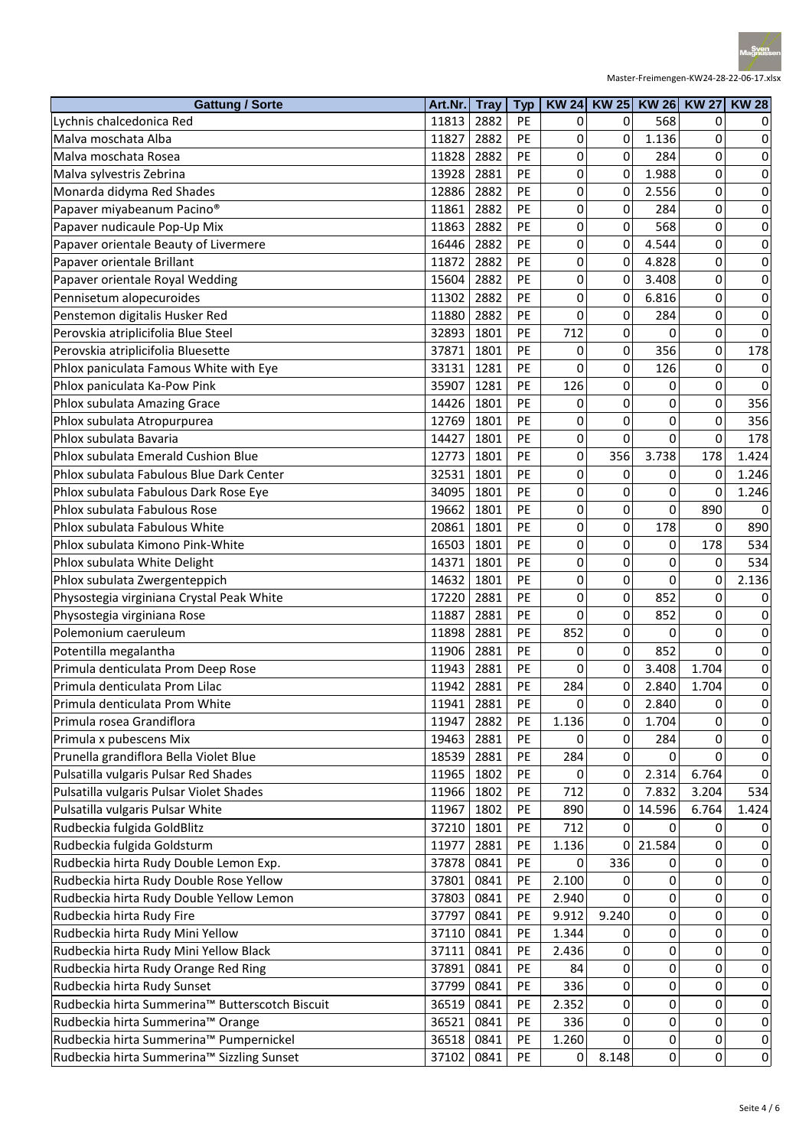

| <b>Gattung / Sorte</b>                          | Art.Nr. | <b>Tray</b> | <b>Typ</b> | <b>KW 24</b> |          | KW 25 KW 26 KW 27 |                | <b>KW 28</b>     |
|-------------------------------------------------|---------|-------------|------------|--------------|----------|-------------------|----------------|------------------|
| Lychnis chalcedonica Red                        | 11813   | 2882        | PE         | 0            | 0        | 568               | 0              | 0                |
| Malva moschata Alba                             | 11827   | 2882        | PE         | 0            | 0        | 1.136             | 0              | 0                |
| Malva moschata Rosea                            | 11828   | 2882        | PE         | 0            | 0        | 284               | 0              | $\mathbf 0$      |
| Malva sylvestris Zebrina                        | 13928   | 2881        | PE         | 0            | 0        | 1.988             | $\mathbf 0$    | 0                |
| Monarda didyma Red Shades                       | 12886   | 2882        | PE         | 0            | 0        | 2.556             | 0              | 0                |
| Papaver miyabeanum Pacino <sup>®</sup>          | 11861   | 2882        | PE         | $\mathbf 0$  | 0        | 284               | 0              | $\mathbf 0$      |
| Papaver nudicaule Pop-Up Mix                    | 11863   | 2882        | PE         | 0            | 0        | 568               | $\overline{0}$ | $\mathbf 0$      |
| Papaver orientale Beauty of Livermere           | 16446   | 2882        | PE         | 0            | 0        | 4.544             | 0              | 0                |
| Papaver orientale Brillant                      | 11872   | 2882        | PE         | 0            | 0        | 4.828             | $\mathbf 0$    | $\mathbf 0$      |
| Papaver orientale Royal Wedding                 | 15604   | 2882        | PE         | 0            | 0        | 3.408             | 0              | 0                |
| Pennisetum alopecuroides                        | 11302   | 2882        | PE         | $\mathbf 0$  | 0        | 6.816             | 0              | $\mathbf 0$      |
| Penstemon digitalis Husker Red                  | 11880   | 2882        | PE         | 0            | 0        | 284               | $\overline{0}$ | $\mathbf 0$      |
| Perovskia atriplicifolia Blue Steel             | 32893   | 1801        | PE         | 712          | 0        | 0                 | 0              | 0                |
| Perovskia atriplicifolia Bluesette              | 37871   | 1801        | PE         | 0            | 0        | 356               | $\mathbf 0$    | 178              |
| Phlox paniculata Famous White with Eye          | 33131   | 1281        | PE         | 0            | 0        | 126               | 0              | 0                |
| Phlox paniculata Ka-Pow Pink                    | 35907   | 1281        | <b>PE</b>  | 126          | 0        | 0                 | 0              | 0                |
| Phlox subulata Amazing Grace                    | 14426   | 1801        | PE         | 0            | 0        | 0                 | $\overline{0}$ | 356              |
| Phlox subulata Atropurpurea                     | 12769   | 1801        | PE         | 0            | 0        | 0                 | 0              | 356              |
| Phlox subulata Bavaria                          | 14427   | 1801        | PE         | $\mathbf 0$  | 0        | $\overline{0}$    | $\Omega$       | 178              |
| Phlox subulata Emerald Cushion Blue             | 12773   | 1801        | PE         | 0            | 356      | 3.738             | 178            | 1.424            |
| Phlox subulata Fabulous Blue Dark Center        | 32531   | 1801        | PE         | $\mathbf 0$  | 0        | 0                 | 0              | 1.246            |
| Phlox subulata Fabulous Dark Rose Eye           | 34095   | 1801        | PE         | 0            | 0        | $\mathbf 0$       | $\overline{0}$ | 1.246            |
| Phlox subulata Fabulous Rose                    | 19662   | 1801        | PE         | 0            | 0        | $\mathbf 0$       | 890            | 0                |
| Phlox subulata Fabulous White                   | 20861   | 1801        | PE         | $\mathbf 0$  | 0        | 178               | $\Omega$       | 890              |
| Phlox subulata Kimono Pink-White                | 16503   | 1801        | PE         | 0            | 0        | 0                 | 178            | 534              |
| Phlox subulata White Delight                    | 14371   | 1801        | PE         | $\mathbf 0$  | 0        | 0                 | 0              | 534              |
| Phlox subulata Zwergenteppich                   | 14632   | 1801        | PE         | 0            | 0        | $\mathbf 0$       | $\mathbf 0$    | 2.136            |
| Physostegia virginiana Crystal Peak White       | 17220   | 2881        | PE         | 0            | 0        | 852               | 0              | 0                |
| Physostegia virginiana Rose                     | 11887   | 2881        | PE         | 0            | 0        | 852               | $\mathbf 0$    | 0                |
| Polemonium caeruleum                            | 11898   | 2881        | PE         | 852          | 0        | 0                 | $\mathbf 0$    | 0                |
| Potentilla megalantha                           | 11906   | 2881        | PE         | 0            | 0        | 852               | 0              | $\boldsymbol{0}$ |
| Primula denticulata Prom Deep Rose              | 11943   | 2881        | PE         | 0            | $\Omega$ | 3.408             | 1.704          | 0                |
| Primula denticulata Prom Lilac                  | 11942   | 2881        | PE         | 284          | 0        | 2.840             | 1.704          | 0                |
| Primula denticulata Prom White                  | 11941   | 2881        | PE         | $\Omega$     | 0        | 2.840             | $\Omega$       | 0                |
| Primula rosea Grandiflora                       | 11947   | 2882        | PE         | 1.136        | 0        | 1.704             | 0              | 0                |
| Primula x pubescens Mix                         | 19463   | 2881        | PE         | 0            | 0        | 284               | 0              | $\pmb{0}$        |
| Prunella grandiflora Bella Violet Blue          | 18539   | 2881        | PE         | 284          | $\Omega$ | 0                 | $\Omega$       | 0                |
| Pulsatilla vulgaris Pulsar Red Shades           | 11965   | 1802        | PE         | 0            | 0        | 2.314             | 6.764          | 0                |
| Pulsatilla vulgaris Pulsar Violet Shades        | 11966   | 1802        | PE         | 712          | 0        | 7.832             | 3.204          | 534              |
| Pulsatilla vulgaris Pulsar White                | 11967   | 1802        | PE         | 890          | 0        | 14.596            | 6.764          | 1.424            |
| Rudbeckia fulgida GoldBlitz                     | 37210   | 1801        | PE         | 712          | 0        | 0                 | 0              | 0                |
| Rudbeckia fulgida Goldsturm                     | 11977   | 2881        | PE         | 1.136        | 0        | 21.584            | $\Omega$       | 0                |
| Rudbeckia hirta Rudy Double Lemon Exp.          | 37878   | 0841        | PE         | 0            | 336      | 0                 | 0              | 0                |
| Rudbeckia hirta Rudy Double Rose Yellow         | 37801   | 0841        | PE         | 2.100        | $\Omega$ | 0                 | 0              | 0                |
| Rudbeckia hirta Rudy Double Yellow Lemon        | 37803   | 0841        | PE         | 2.940        | 0        | 0                 | 0              | 0                |
| Rudbeckia hirta Rudy Fire                       | 37797   | 0841        | PE         | 9.912        | 9.240    | 0                 | 0              | 0                |
| Rudbeckia hirta Rudy Mini Yellow                | 37110   | 0841        | PE         | 1.344        | 0        | 0                 | 0              | $\pmb{0}$        |
| Rudbeckia hirta Rudy Mini Yellow Black          | 37111   | 0841        | <b>PE</b>  | 2.436        | 0        | 0                 | 0              | 0                |
| Rudbeckia hirta Rudy Orange Red Ring            | 37891   | 0841        | PE         | 84           | 0        | 0                 | 0              | 0                |
| Rudbeckia hirta Rudy Sunset                     | 37799   | 0841        | PE         | 336          | 0        | 0                 | $\mathbf 0$    | $\mathbf 0$      |
| Rudbeckia hirta Summerina™ Butterscotch Biscuit | 36519   | 0841        | PE         | 2.352        | 0        | 0                 | 0              | 0                |
| Rudbeckia hirta Summerina™ Orange               | 36521   | 0841        | PE         | 336          | 0        | 0                 | $\mathbf 0$    | $\pmb{0}$        |
| Rudbeckia hirta Summerina™ Pumpernickel         | 36518   | 0841        | PE         | 1.260        | 0        | 0                 | $\mathbf 0$    | 0                |
| Rudbeckia hirta Summerina™ Sizzling Sunset      | 37102   | 0841        | PE         | $\pmb{0}$    | 8.148    | 0                 | $\mathbf 0$    | 0                |
|                                                 |         |             |            |              |          |                   |                |                  |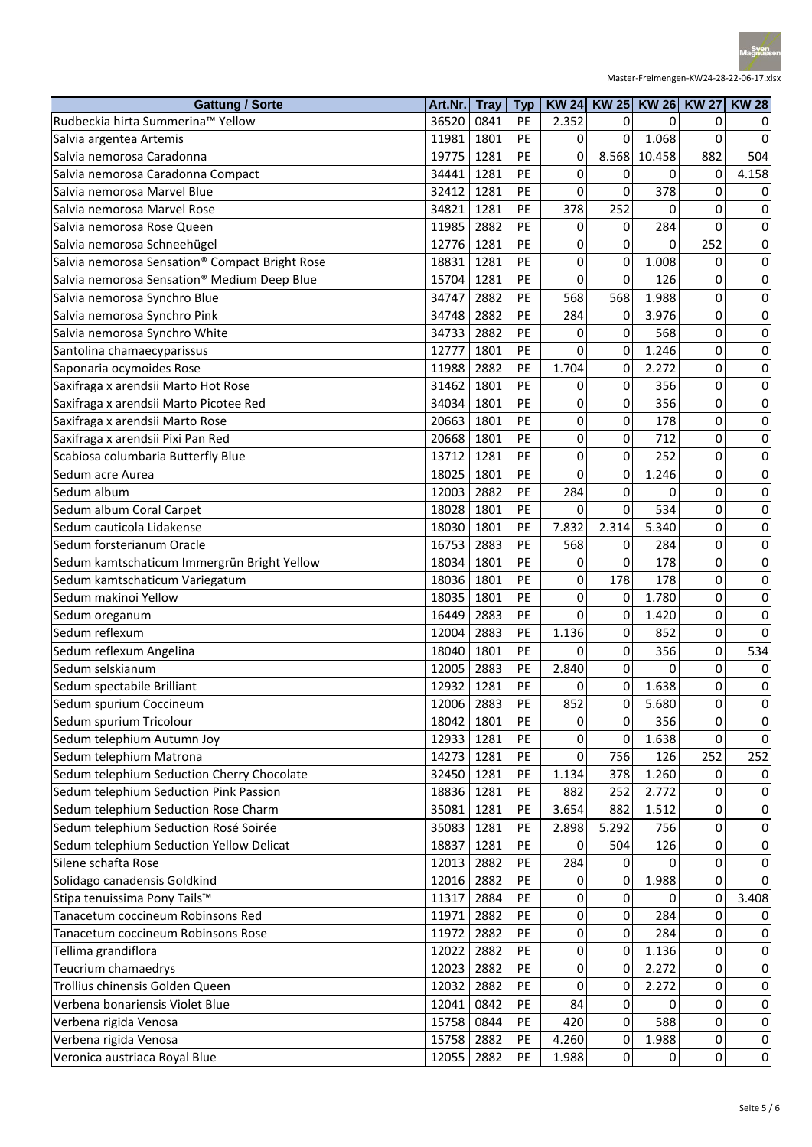

| <b>Gattung / Sorte</b>                         | Art.Nr. | <b>Tray</b> | <b>Typ</b> |             | KW 24 KW 25 | <b>KW 26</b> | <b>KW 27</b>   | <b>KW 28</b> |
|------------------------------------------------|---------|-------------|------------|-------------|-------------|--------------|----------------|--------------|
| Rudbeckia hirta Summerina™ Yellow              | 36520   | 0841        | PE         | 2.352       | 0           | $\Omega$     | 0              | 0            |
| Salvia argentea Artemis                        | 11981   | 1801        | PE         | 0           | 0           | 1.068        | 0              | 0            |
| Salvia nemorosa Caradonna                      | 19775   | 1281        | PE         | 0           | 8.568       | 10.458       | 882            | 504          |
| Salvia nemorosa Caradonna Compact              | 34441   | 1281        | PE         | 0           | 0           | 0            | 0              | 4.158        |
| Salvia nemorosa Marvel Blue                    | 32412   | 1281        | PE         | 0           | 0           | 378          | 0              | 0            |
| Salvia nemorosa Marvel Rose                    | 34821   | 1281        | PE         | 378         | 252         | 0            | 0              | 0            |
| Salvia nemorosa Rose Queen                     | 11985   | 2882        | PE         | 0           | 0           | 284          | 0              | 0            |
| Salvia nemorosa Schneehügel                    | 12776   | 1281        | PE         | 0           | 0           | 0            | 252            | 0            |
| Salvia nemorosa Sensation® Compact Bright Rose | 18831   | 1281        | PE         | 0           | 0           | 1.008        | 0              | 0            |
| Salvia nemorosa Sensation® Medium Deep Blue    | 15704   | 1281        | PE         | 0           | 0           | 126          | 0              | 0            |
| Salvia nemorosa Synchro Blue                   | 34747   | 2882        | PE         | 568         | 568         | 1.988        | $\overline{0}$ | $\pmb{0}$    |
| Salvia nemorosa Synchro Pink                   | 34748   | 2882        | PE         | 284         | 0           | 3.976        | 0              | $\pmb{0}$    |
| Salvia nemorosa Synchro White                  | 34733   | 2882        | PE         | 0           | 0           | 568          | 0              | $\mathbf 0$  |
| Santolina chamaecyparissus                     | 12777   | 1801        | PE         | 0           | 0           | 1.246        | 0              | 0            |
| Saponaria ocymoides Rose                       | 11988   | 2882        | PE         | 1.704       | 0           | 2.272        | 0              | 0            |
| Saxifraga x arendsii Marto Hot Rose            | 31462   | 1801        | <b>PE</b>  | 0           | 0           | 356          | 0              | $\pmb{0}$    |
| Saxifraga x arendsii Marto Picotee Red         | 34034   | 1801        | PE         | 0           | 0           | 356          | 0              | $\pmb{0}$    |
| Saxifraga x arendsii Marto Rose                | 20663   | 1801        | PE         | 0           | 0           | 178          | 0              | $\mathbf 0$  |
| Saxifraga x arendsii Pixi Pan Red              | 20668   | 1801        | PE         | 0           | 0           | 712          | 0              | 0            |
| Scabiosa columbaria Butterfly Blue             | 13712   | 1281        | PE         | 0           | 0           | 252          | 0              | 0            |
| Sedum acre Aurea                               | 18025   | 1801        | PE         | 0           | 0           | 1.246        | $\overline{0}$ | $\pmb{0}$    |
| Sedum album                                    | 12003   | 2882        | PE         | 284         | 0           | 0            | 0              | $\pmb{0}$    |
| Sedum album Coral Carpet                       | 18028   | 1801        | PE         | 0           | 0           | 534          | 0              | $\mathbf 0$  |
| Sedum cauticola Lidakense                      | 18030   | 1801        | PE         | 7.832       | 2.314       | 5.340        | 0              | $\pmb{0}$    |
| Sedum forsterianum Oracle                      | 16753   | 2883        | PE         | 568         | 0           | 284          | 0              | 0            |
| Sedum kamtschaticum Immergrün Bright Yellow    | 18034   | 1801        | PE         | 0           | 0           | 178          | $\overline{0}$ | $\pmb{0}$    |
| Sedum kamtschaticum Variegatum                 | 18036   | 1801        | PE         | 0           | 178         | 178          | 0              | $\pmb{0}$    |
| Sedum makinoi Yellow                           | 18035   | 1801        | PE         | 0           | 0           | 1.780        | 0              | $\mathbf 0$  |
| Sedum oreganum                                 | 16449   | 2883        | PE         | $\Omega$    | 0           | 1.420        | 0              | $\pmb{0}$    |
| Sedum reflexum                                 | 12004   | 2883        | PE         | 1.136       | 0           | 852          | 0              | 0            |
| Sedum reflexum Angelina                        | 18040   | 1801        | PE         | $\mathbf 0$ | 0           | 356          | 0              | 534          |
| Sedum selskianum                               | 12005   | 2883        | PE         | 2.840       | 0           | 0            | 0              | 0            |
| Sedum spectabile Brilliant                     | 12932   | 1281        | PE         | 0           | 0           | 1.638        | 0              | 0            |
| Sedum spurium Coccineum                        | 12006   | 2883        | PE         | 852         | 0           | 5.680        | 0              | 0            |
| Sedum spurium Tricolour                        | 18042   | 1801        | PE         | 0           | 0           | 356          | 0              | 0            |
| Sedum telephium Autumn Joy                     | 12933   | 1281        | PE         | 0           | 0           | 1.638        | 0              | 0            |
| Sedum telephium Matrona                        | 14273   | 1281        | PE         | 0           | 756         | 126          | 252            | 252          |
| Sedum telephium Seduction Cherry Chocolate     | 32450   | 1281        | PE         | 1.134       | 378         | 1.260        | 0              | $\mathbf 0$  |
| Sedum telephium Seduction Pink Passion         | 18836   | 1281        | PE         | 882         | 252         | 2.772        | $\Omega$       | 0            |
| Sedum telephium Seduction Rose Charm           | 35081   | 1281        | PE         | 3.654       | 882         | 1.512        | 0              | 0            |
| Sedum telephium Seduction Rosé Soirée          | 35083   | 1281        | PE         | 2.898       | 5.292       | 756          | 0              | $\pmb{0}$    |
| Sedum telephium Seduction Yellow Delicat       | 18837   | 1281        | PE         | 0           | 504         | 126          | 0              | 0            |
| Silene schafta Rose                            | 12013   | 2882        | PE         | 284         | 0           | 0            | 0              | 0            |
| Solidago canadensis Goldkind                   | 12016   | 2882        | PE         | 0           | 0           | 1.988        | 0              | 0            |
| Stipa tenuissima Pony Tails™                   | 11317   | 2884        | PE         | 0           | 0           | 0            | 0              | 3.408        |
| Tanacetum coccineum Robinsons Red              | 11971   | 2882        | PE         | 0           | 0           | 284          | 0              | 0            |
| Tanacetum coccineum Robinsons Rose             | 11972   | 2882        | PE         | 0           | 0           | 284          | 0              | 0            |
| Tellima grandiflora                            | 12022   | 2882        | <b>PE</b>  | 0           | 0           | 1.136        | 0              | 0            |
| Teucrium chamaedrys                            | 12023   | 2882        | PE         | 0           | 0           | 2.272        | 0              | 0            |
| Trollius chinensis Golden Queen                | 12032   | 2882        | PE         | 0           | 0           | 2.272        | 0              | 0            |
| Verbena bonariensis Violet Blue                | 12041   | 0842        | PE         | 84          | 0           | $\mathbf 0$  | 0              | $\pmb{0}$    |
| Verbena rigida Venosa                          | 15758   | 0844        | PE         | 420         | 0           | 588          | 0              | $\pmb{0}$    |
| Verbena rigida Venosa                          | 15758   | 2882        | PE         | 4.260       | 0           | 1.988        | 0              | $\pmb{0}$    |
| Veronica austriaca Royal Blue                  | 12055   | 2882        | PE         | 1.988       | 0           | $\mathbf 0$  | 0              | $\pmb{0}$    |